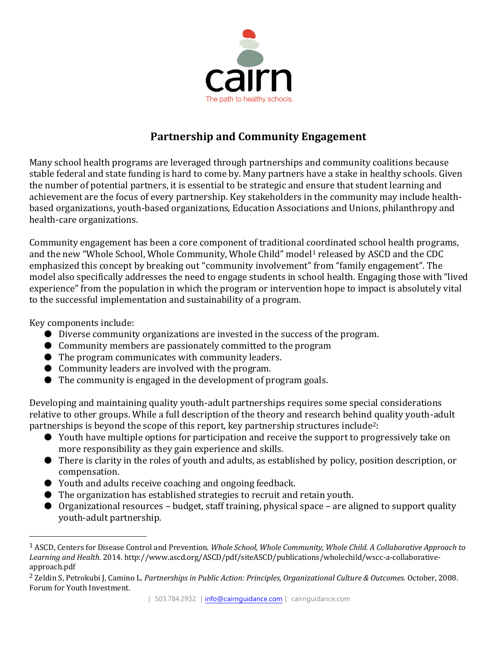

## **Partnership and Community Engagement**

Many school health programs are leveraged through partnerships and community coalitions because stable federal and state funding is hard to come by. Many partners have a stake in healthy schools. Given the number of potential partners, it is essential to be strategic and ensure that student learning and achievement are the focus of every partnership. Key stakeholders in the community may include healthbased organizations, youth-based organizations, Education Associations and Unions, philanthropy and health-care organizations.

Community engagement has been a core component of traditional coordinated school health programs, and the new "Whole School, Whole Community, Whole Child" model<sup>1</sup> released by ASCD and the CDC emphasized this concept by breaking out "community involvement" from "family engagement". The model also specifically addresses the need to engage students in school health. Engaging those with "lived experience" from the population in which the program or intervention hope to impact is absolutely vital to the successful implementation and sustainability of a program.

Key components include:

- Diverse community organizations are invested in the success of the program.
- Community members are passionately committed to the program
- The program communicates with community leaders.
- Community leaders are involved with the program.
- The community is engaged in the development of program goals.

Developing and maintaining quality youth-adult partnerships requires some special considerations relative to other groups. While a full description of the theory and research behind quality youth-adult partnerships is beyond the scope of this report, key partnership structures include<sup>2</sup>:

- Youth have multiple options for participation and receive the support to progressively take on more responsibility as they gain experience and skills.
- There is clarity in the roles of youth and adults, as established by policy, position description, or compensation.
- Youth and adults receive coaching and ongoing feedback.
- The organization has established strategies to recruit and retain youth.
- Organizational resources budget, staff training, physical space are aligned to support quality youth-adult partnership.

<sup>1</sup> ASCD, Centers for Disease Control and Prevention. *Whole School, Whole Community, Whole Child. A Collaborative Approach to Learning and Health.* 2014. http://www.ascd.org/ASCD/pdf/siteASCD/publications/wholechild/wscc-a-collaborativeapproach.pdf

<sup>2</sup> Zeldin S, Petrokubi J, Camino L. *Partnerships in Public Action: Principles, Organizational Culture & Outcomes*. October, 2008. Forum for Youth Investment.